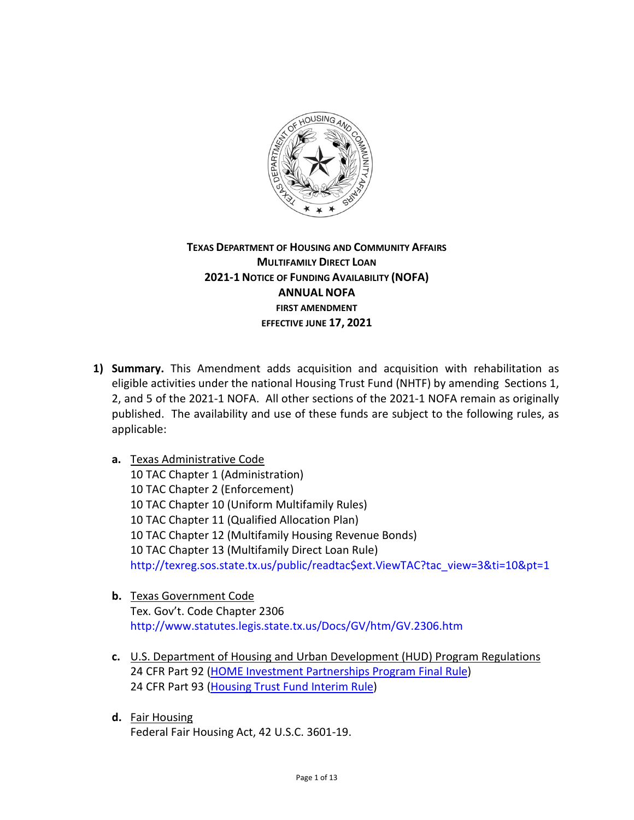

# **TEXAS DEPARTMENT OF HOUSING AND COMMUNITY AFFAIRS MULTIFAMILY DIRECT LOAN 2021-1 NOTICE OF FUNDING AVAILABILITY (NOFA) ANNUAL NOFA FIRST AMENDMENT EFFECTIVE JUNE 17, 2021**

- **1) Summary.** This Amendment adds acquisition and acquisition with rehabilitation as eligible activities under the national Housing Trust Fund (NHTF) by amending Sections 1, 2, and 5 of the 2021-1 NOFA. All other sections of the 2021-1 NOFA remain as originally published. The availability and use of these funds are subject to the following rules, as applicable:
	- **a.** Texas Administrative Code 10 TAC Chapter 1 (Administration) 10 TAC Chapter 2 (Enforcement) 10 TAC Chapter 10 (Uniform Multifamily Rules) 10 TAC Chapter 11 (Qualified Allocation Plan) 10 TAC Chapter 12 (Multifamily Housing Revenue Bonds) 10 TAC Chapter 13 (Multifamily Direct Loan Rule) [http://texreg.sos.state.tx.us/public/readtac\\$ext.ViewTAC?tac\\_view=3&ti=10&pt=1](http://texreg.sos.state.tx.us/public/readtac$ext.ViewTAC?tac_view=3&ti=10&pt=1)
	- **b.** Texas Government Code Tex. Gov't. Code Chapter 2306 <http://www.statutes.legis.state.tx.us/Docs/GV/htm/GV.2306.htm>
	- **c.** U.S. Department of Housing and Urban Development (HUD) Program Regulations 24 CFR Part 92 [\(HOME Investment Partnerships Program Final Rule\)](http://www.ecfr.gov/cgi-bin/text-idx?c=ecfr&tpl=/ecfrbrowse/Title24/24cfr92_main_02.tpl) 24 CFR Part 93 [\(Housing Trust Fund Interim Rule\)](http://www.ecfr.gov/cgi-bin/text-idx?SID=222584118d192eb177d111b97b45cda8&mc=true&tpl=/ecfrbrowse/Title24/24cfr93_main_02.tpl)
	- **d.** Fair Housing Federal Fair Housing Act, 42 U.S.C. 3601-19.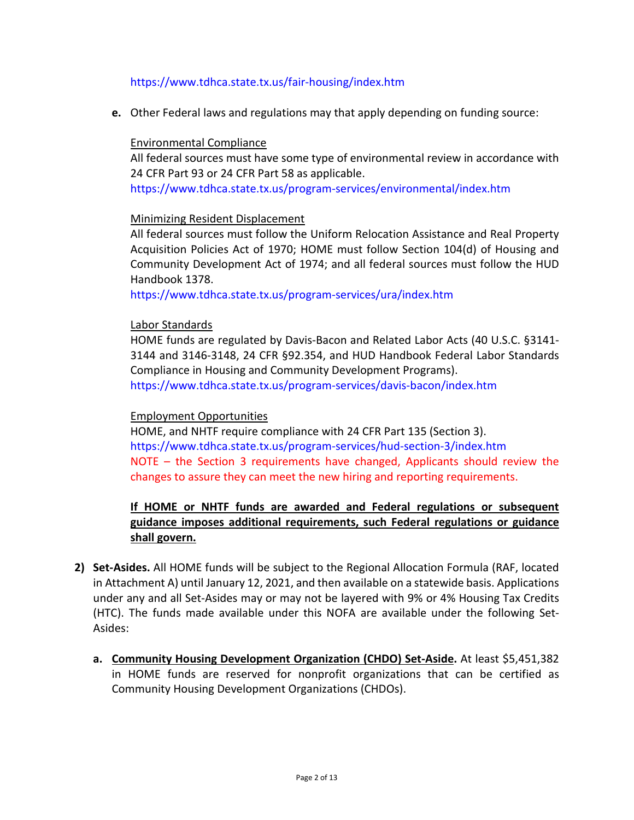### <https://www.tdhca.state.tx.us/fair-housing/index.htm>

**e.** Other Federal laws and regulations may that apply depending on funding source:

#### Environmental Compliance

All federal sources must have some type of environmental review in accordance with 24 CFR Part 93 or 24 CFR Part 58 as applicable.

<https://www.tdhca.state.tx.us/program-services/environmental/index.htm>

### Minimizing Resident Displacement

All federal sources must follow the Uniform Relocation Assistance and Real Property Acquisition Policies Act of 1970; HOME must follow Section 104(d) of Housing and Community Development Act of 1974; and all federal sources must follow the HUD Handbook 1378.

<https://www.tdhca.state.tx.us/program-services/ura/index.htm>

### Labor Standards

HOME funds are regulated by Davis-Bacon and Related Labor Acts (40 U.S.C. §3141- 3144 and 3146-3148, 24 CFR §92.354, and HUD Handbook Federal Labor Standards Compliance in Housing and Community Development Programs).

<https://www.tdhca.state.tx.us/program-services/davis-bacon/index.htm>

#### Employment Opportunities

HOME, and NHTF require compliance with 24 CFR Part 135 (Section 3). <https://www.tdhca.state.tx.us/program-services/hud-section-3/index.htm> NOTE – the Section 3 requirements have changed, Applicants should review the changes to assure they can meet the new hiring and reporting requirements.

# **If HOME or NHTF funds are awarded and Federal regulations or subsequent guidance imposes additional requirements, such Federal regulations or guidance shall govern.**

- **2) Set-Asides.** All HOME funds will be subject to the Regional Allocation Formula (RAF, located in Attachment A) until January 12, 2021, and then available on a statewide basis. Applications under any and all Set-Asides may or may not be layered with 9% or 4% Housing Tax Credits (HTC). The funds made available under this NOFA are available under the following Set-Asides:
	- **a. Community Housing Development Organization (CHDO) Set-Aside.** At least \$5,451,382 in HOME funds are reserved for nonprofit organizations that can be certified as Community Housing Development Organizations (CHDOs).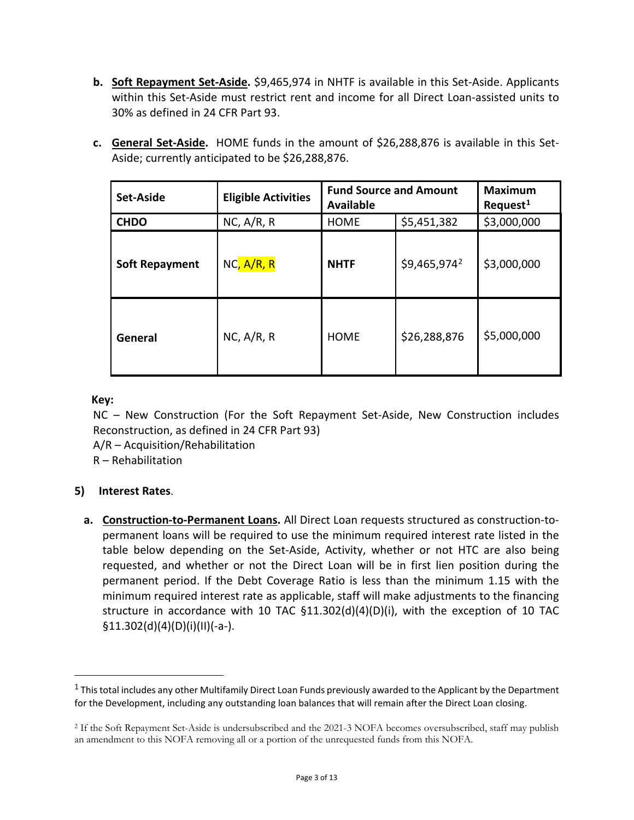**b. Soft Repayment Set-Aside.** \$9,465,974 in NHTF is available in this Set-Aside. Applicants within this Set-Aside must restrict rent and income for all Direct Loan-assisted units to 30% as defined in 24 CFR Part 93.

|  | c. General Set-Aside. HOME funds in the amount of \$26,288,876 is available in this Set- |
|--|------------------------------------------------------------------------------------------|
|  | Aside; currently anticipated to be \$26,288,876.                                         |

| <b>Set-Aside</b>      | <b>Eligible Activities</b> | <b>Fund Source and Amount</b><br><b>Available</b> |                          | <b>Maximum</b><br>Request <sup>1</sup> |
|-----------------------|----------------------------|---------------------------------------------------|--------------------------|----------------------------------------|
| <b>CHDO</b>           | $NC$ , $A/R$ , R           | <b>HOME</b>                                       | \$5,451,382              | \$3,000,000                            |
| <b>Soft Repayment</b> | NC, A/R, R                 | <b>NHTF</b>                                       | \$9,465,974 <sup>2</sup> | \$3,000,000                            |
| General               | $NC$ , $A/R$ , R           | <b>HOME</b>                                       | \$26,288,876             | \$5,000,000                            |

### **Key:**

 $\overline{a}$ 

NC – New Construction (For the Soft Repayment Set-Aside, New Construction includes Reconstruction, as defined in 24 CFR Part 93)

A/R – Acquisition/Rehabilitation

R – Rehabilitation

# **5) Interest Rates**.

**a. Construction-to-Permanent Loans.** All Direct Loan requests structured as construction-topermanent loans will be required to use the minimum required interest rate listed in the table below depending on the Set-Aside, Activity, whether or not HTC are also being requested, and whether or not the Direct Loan will be in first lien position during the permanent period. If the Debt Coverage Ratio is less than the minimum 1.15 with the minimum required interest rate as applicable, staff will make adjustments to the financing structure in accordance with 10 TAC  $\S$ 11.302(d)(4)(D)(i), with the exception of 10 TAC  $$11.302(d)(4)(D)(i)(II)(-a-).$ 

<span id="page-2-0"></span> $1$  This total includes any other Multifamily Direct Loan Funds previously awarded to the Applicant by the Department for the Development, including any outstanding loan balances that will remain after the Direct Loan closing.

<span id="page-2-1"></span><sup>2</sup> If the Soft Repayment Set-Aside is undersubscribed and the 2021-3 NOFA becomes oversubscribed, staff may publish an amendment to this NOFA removing all or a portion of the unrequested funds from this NOFA.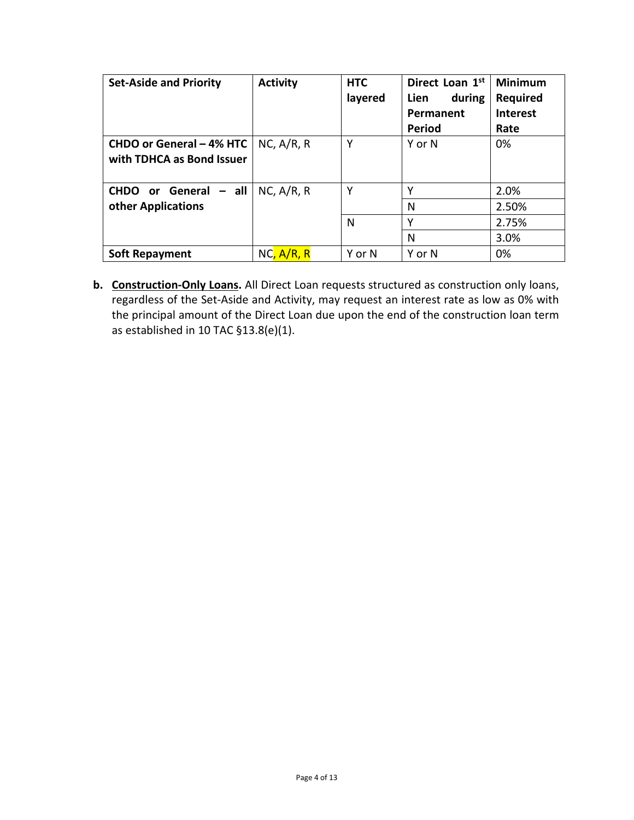| <b>Set-Aside and Priority</b>                           | <b>Activity</b> | <b>HTC</b><br>layered | Direct Loan 1st<br>during<br><b>Lien</b><br>Permanent<br><b>Period</b> | <b>Minimum</b><br><b>Required</b><br><b>Interest</b><br>Rate |
|---------------------------------------------------------|-----------------|-----------------------|------------------------------------------------------------------------|--------------------------------------------------------------|
| CHDO or General - 4% HTC<br>with TDHCA as Bond Issuer   | NC, A/R, R      | Υ                     | Y or N                                                                 | 0%                                                           |
| $-$ all<br><b>CHDO</b> or General<br>other Applications | NC, A/R, R      | Υ                     | Υ<br>N                                                                 | 2.0%<br>2.50%                                                |
|                                                         |                 | N                     | v                                                                      | 2.75%                                                        |
|                                                         |                 |                       | N                                                                      | 3.0%                                                         |
| <b>Soft Repayment</b>                                   | NC, A/R, R      | Y or N                | Y or N                                                                 | 0%                                                           |

**b. Construction-Only Loans.** All Direct Loan requests structured as construction only loans, regardless of the Set-Aside and Activity, may request an interest rate as low as 0% with the principal amount of the Direct Loan due upon the end of the construction loan term as established in 10 TAC §13.8(e)(1).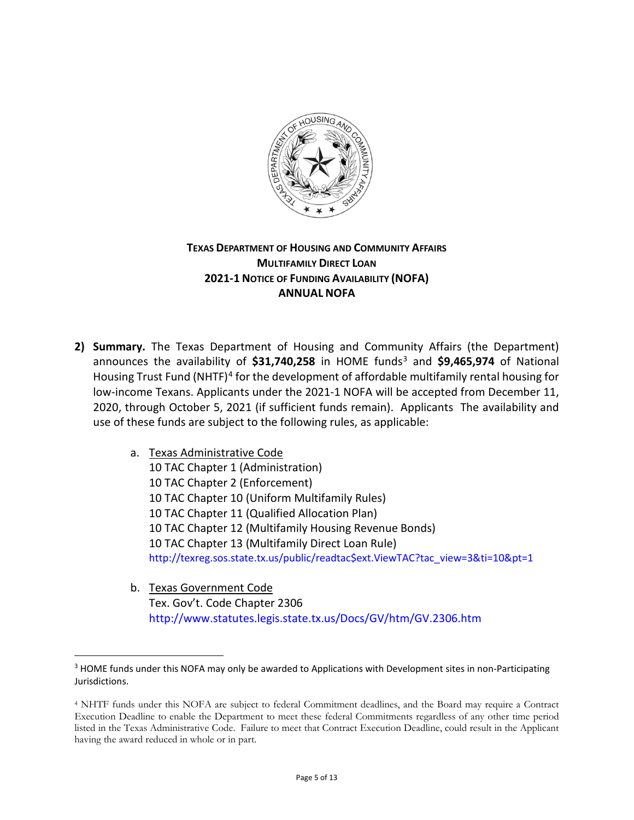

# **TEXAS DEPARTMENT OF HOUSING AND COMMUNITY AFFAIRS MULTIFAMILY DIRECT LOAN 2021-1 NOTICE OF FUNDING AVAILABILITY (NOFA) ANNUAL NOFA**

- **2) Summary.** The Texas Department of Housing and Community Affairs (the Department) announces the availability of \$31,740,258 in HOME funds<sup>3</sup> and \$9,465,974 of National Housing Trust Fund (NHTF)<sup>[4](#page-4-1)</sup> for the development of affordable multifamily rental housing for low-income Texans. Applicants under the 2021-1 NOFA will be accepted from December 11, 2020, through October 5, 2021 (if sufficient funds remain). Applicants The availability and use of these funds are subject to the following rules, as applicable:
	- a. Texas Administrative Code

 $\overline{a}$ 

10 TAC Chapter 1 (Administration) 10 TAC Chapter 2 (Enforcement) 10 TAC Chapter 10 (Uniform Multifamily Rules) 10 TAC Chapter 11 (Qualified Allocation Plan) 10 TAC Chapter 12 (Multifamily Housing Revenue Bonds) 10 TAC Chapter 13 (Multifamily Direct Loan Rule) [http://texreg.sos.state.tx.us/public/readtac\\$ext.ViewTAC?tac\\_view=3&ti=10&pt=1](http://texreg.sos.state.tx.us/public/readtac$ext.ViewTAC?tac_view=3&ti=10&pt=1)

b. Texas Government Code Tex. Gov't. Code Chapter 2306 <http://www.statutes.legis.state.tx.us/Docs/GV/htm/GV.2306.htm>

<span id="page-4-0"></span><sup>&</sup>lt;sup>3</sup> HOME funds under this NOFA may only be awarded to Applications with Development sites in non-Participating Jurisdictions.

<span id="page-4-1"></span><sup>4</sup> NHTF funds under this NOFA are subject to federal Commitment deadlines, and the Board may require a Contract Execution Deadline to enable the Department to meet these federal Commitments regardless of any other time period listed in the Texas Administrative Code. Failure to meet that Contract Execution Deadline, could result in the Applicant having the award reduced in whole or in part.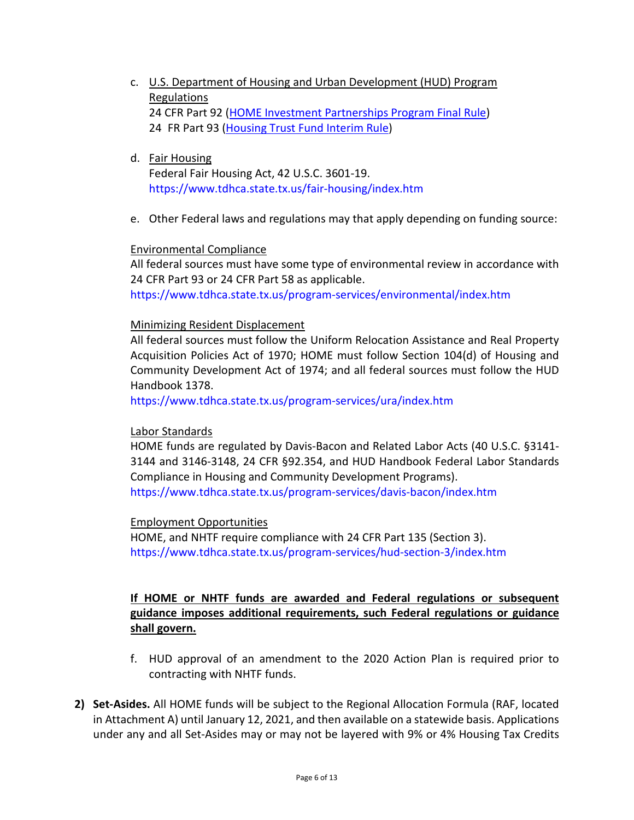- c. U.S. Department of Housing and Urban Development (HUD) Program Regulations 24 CFR Part 92 [\(HOME Investment Partnerships Program Final Rule\)](http://www.ecfr.gov/cgi-bin/text-idx?c=ecfr&tpl=/ecfrbrowse/Title24/24cfr92_main_02.tpl) 24 FR Part 93 [\(Housing Trust Fund Interim Rule\)](http://www.ecfr.gov/cgi-bin/text-idx?SID=222584118d192eb177d111b97b45cda8&mc=true&tpl=/ecfrbrowse/Title24/24cfr93_main_02.tpl)
- d. Fair Housing

 Federal Fair Housing Act, 42 U.S.C. 3601-19. <https://www.tdhca.state.tx.us/fair-housing/index.htm>

e. Other Federal laws and regulations may that apply depending on funding source:

### Environmental Compliance

All federal sources must have some type of environmental review in accordance with 24 CFR Part 93 or 24 CFR Part 58 as applicable.

<https://www.tdhca.state.tx.us/program-services/environmental/index.htm>

### Minimizing Resident Displacement

All federal sources must follow the Uniform Relocation Assistance and Real Property Acquisition Policies Act of 1970; HOME must follow Section 104(d) of Housing and Community Development Act of 1974; and all federal sources must follow the HUD Handbook 1378.

<https://www.tdhca.state.tx.us/program-services/ura/index.htm>

### Labor Standards

HOME funds are regulated by Davis-Bacon and Related Labor Acts (40 U.S.C. §3141- 3144 and 3146-3148, 24 CFR §92.354, and HUD Handbook Federal Labor Standards Compliance in Housing and Community Development Programs).

<https://www.tdhca.state.tx.us/program-services/davis-bacon/index.htm>

#### Employment Opportunities

HOME, and NHTF require compliance with 24 CFR Part 135 (Section 3). <https://www.tdhca.state.tx.us/program-services/hud-section-3/index.htm>

# **If HOME or NHTF funds are awarded and Federal regulations or subsequent guidance imposes additional requirements, such Federal regulations or guidance shall govern.**

- f. HUD approval of an amendment to the 2020 Action Plan is required prior to contracting with NHTF funds.
- **2) Set-Asides.** All HOME funds will be subject to the Regional Allocation Formula (RAF, located in Attachment A) until January 12, 2021, and then available on a statewide basis. Applications under any and all Set-Asides may or may not be layered with 9% or 4% Housing Tax Credits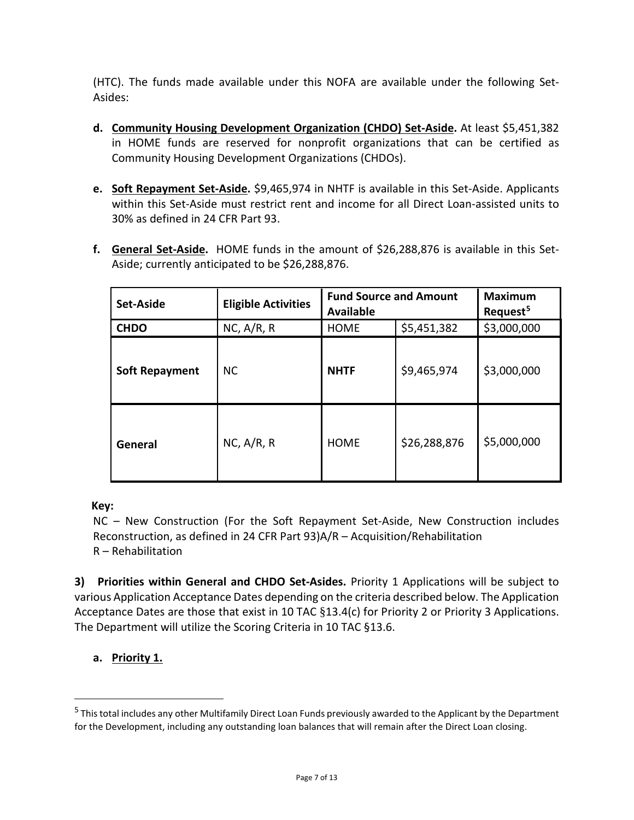(HTC). The funds made available under this NOFA are available under the following Set-Asides:

- **d. Community Housing Development Organization (CHDO) Set-Aside.** At least \$5,451,382 in HOME funds are reserved for nonprofit organizations that can be certified as Community Housing Development Organizations (CHDOs).
- **e. Soft Repayment Set-Aside.** \$9,465,974 in NHTF is available in this Set-Aside. Applicants within this Set-Aside must restrict rent and income for all Direct Loan-assisted units to 30% as defined in 24 CFR Part 93.
- **f. General Set-Aside.** HOME funds in the amount of \$26,288,876 is available in this Set-Aside; currently anticipated to be \$26,288,876.

| Set-Aside             | <b>Eligible Activities</b> | <b>Fund Source and Amount</b><br><b>Available</b> |              | <b>Maximum</b><br>Request <sup>5</sup> |
|-----------------------|----------------------------|---------------------------------------------------|--------------|----------------------------------------|
| <b>CHDO</b>           | NC, A/R, R                 | <b>HOME</b>                                       | \$5,451,382  | \$3,000,000                            |
| <b>Soft Repayment</b> | <b>NC</b>                  | <b>NHTF</b>                                       | \$9,465,974  | \$3,000,000                            |
| General               | NC, A/R, R                 | <b>HOME</b>                                       | \$26,288,876 | \$5,000,000                            |

# **Key:**

NC – New Construction (For the Soft Repayment Set-Aside, New Construction includes Reconstruction, as defined in 24 CFR Part 93)A/R – Acquisition/Rehabilitation R – Rehabilitation

**3) Priorities within General and CHDO Set-Asides.** Priority 1 Applications will be subject to various Application Acceptance Dates depending on the criteria described below. The Application Acceptance Dates are those that exist in 10 TAC §13.4(c) for Priority 2 or Priority 3 Applications. The Department will utilize the Scoring Criteria in 10 TAC §13.6.

# **a. Priority 1.**

 $\overline{a}$ 

<span id="page-6-0"></span><sup>&</sup>lt;sup>5</sup> This total includes any other Multifamily Direct Loan Funds previously awarded to the Applicant by the Department for the Development, including any outstanding loan balances that will remain after the Direct Loan closing.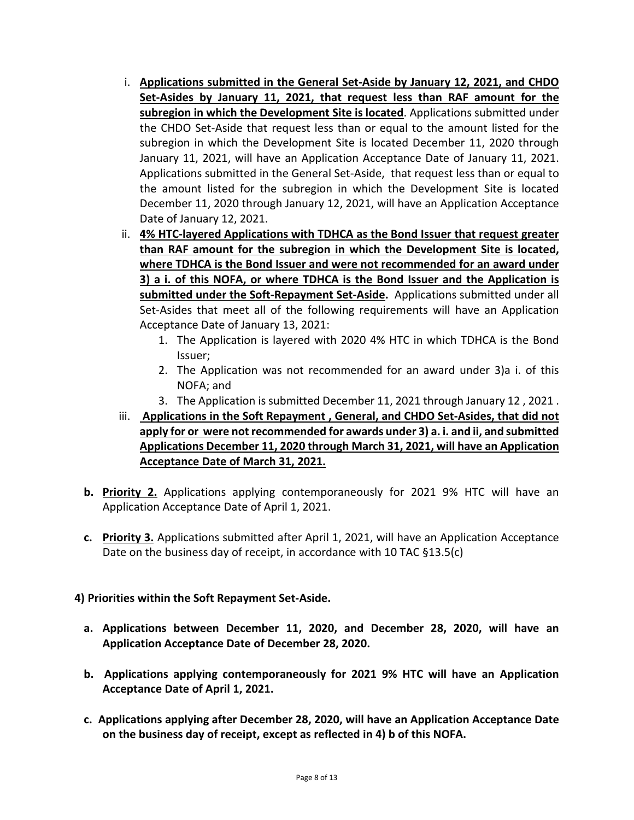- i. **Applications submitted in the General Set-Aside by January 12, 2021, and CHDO Set-Asides by January 11, 2021, that request less than RAF amount for the subregion in which the Development Site is located**. Applications submitted under the CHDO Set-Aside that request less than or equal to the amount listed for the subregion in which the Development Site is located December 11, 2020 through January 11, 2021, will have an Application Acceptance Date of January 11, 2021. Applications submitted in the General Set-Aside, that request less than or equal to the amount listed for the subregion in which the Development Site is located December 11, 2020 through January 12, 2021, will have an Application Acceptance Date of January 12, 2021.
- ii. **4% HTC-layered Applications with TDHCA as the Bond Issuer that request greater than RAF amount for the subregion in which the Development Site is located, where TDHCA is the Bond Issuer and were not recommended for an award under 3) a i. of this NOFA, or where TDHCA is the Bond Issuer and the Application is submitted under the Soft-Repayment Set-Aside.** Applications submitted under all Set-Asides that meet all of the following requirements will have an Application Acceptance Date of January 13, 2021:
	- 1. The Application is layered with 2020 4% HTC in which TDHCA is the Bond Issuer;
	- 2. The Application was not recommended for an award under 3)a i. of this NOFA; and
	- 3. The Application is submitted December 11, 2021 through January 12 , 2021 .
- iii. **Applications in the Soft Repayment , General, and CHDO Set-Asides, that did not apply for or were not recommended for awards under 3) a. i. and ii, and submitted Applications December 11, 2020 through March 31, 2021, will have an Application Acceptance Date of March 31, 2021.**
- **b. Priority 2.** Applications applying contemporaneously for 2021 9% HTC will have an Application Acceptance Date of April 1, 2021.
- **c. Priority 3.** Applications submitted after April 1, 2021, will have an Application Acceptance Date on the business day of receipt, in accordance with 10 TAC §13.5(c)

# **4) Priorities within the Soft Repayment Set-Aside.**

- **a. Applications between December 11, 2020, and December 28, 2020, will have an Application Acceptance Date of December 28, 2020.**
- **b. Applications applying contemporaneously for 2021 9% HTC will have an Application Acceptance Date of April 1, 2021.**
- **c. Applications applying after December 28, 2020, will have an Application Acceptance Date on the business day of receipt, except as reflected in 4) b of this NOFA.**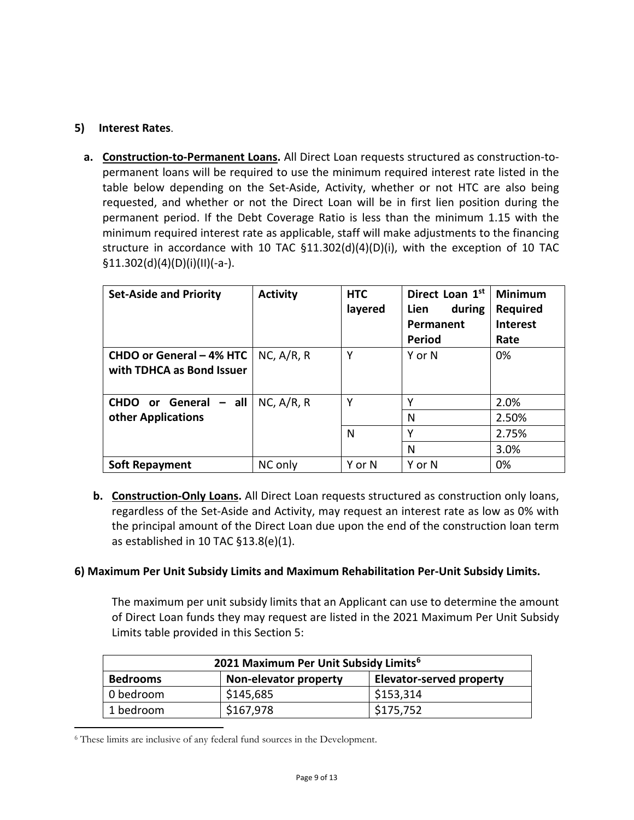### **5) Interest Rates**.

**a. Construction-to-Permanent Loans.** All Direct Loan requests structured as construction-topermanent loans will be required to use the minimum required interest rate listed in the table below depending on the Set-Aside, Activity, whether or not HTC are also being requested, and whether or not the Direct Loan will be in first lien position during the permanent period. If the Debt Coverage Ratio is less than the minimum 1.15 with the minimum required interest rate as applicable, staff will make adjustments to the financing structure in accordance with 10 TAC  $\S$ 11.302(d)(4)(D)(i), with the exception of 10 TAC §11.302(d)(4)(D)(i)(II)(-a-).

| <b>Set-Aside and Priority</b>                         | <b>Activity</b> | <b>HTC</b><br>layered | Direct Loan 1st<br>during<br>Lien<br>Permanent<br><b>Period</b> | <b>Minimum</b><br>Required<br><b>Interest</b><br>Rate |
|-------------------------------------------------------|-----------------|-----------------------|-----------------------------------------------------------------|-------------------------------------------------------|
| CHDO or General - 4% HTC<br>with TDHCA as Bond Issuer | NC, A/R, R      | Υ                     | Y or N                                                          | 0%                                                    |
| <b>CHDO</b> or General<br>$-$ all                     | NC, A/R, R      | Υ                     | Υ                                                               | 2.0%                                                  |
| other Applications                                    |                 |                       | N                                                               | 2.50%                                                 |
|                                                       |                 | N                     | v                                                               | 2.75%                                                 |
|                                                       |                 |                       | N                                                               | 3.0%                                                  |
| <b>Soft Repayment</b>                                 | NC only         | Y or N                | Y or N                                                          | 0%                                                    |

**b. Construction-Only Loans.** All Direct Loan requests structured as construction only loans, regardless of the Set-Aside and Activity, may request an interest rate as low as 0% with the principal amount of the Direct Loan due upon the end of the construction loan term as established in 10 TAC §13.8(e)(1).

### **6) Maximum Per Unit Subsidy Limits and Maximum Rehabilitation Per-Unit Subsidy Limits.**

The maximum per unit subsidy limits that an Applicant can use to determine the amount of Direct Loan funds they may request are listed in the 2021 Maximum Per Unit Subsidy Limits table provided in this Section 5:

| 2021 Maximum Per Unit Subsidy Limits <sup>6</sup>                           |           |           |
|-----------------------------------------------------------------------------|-----------|-----------|
| <b>Bedrooms</b><br><b>Elevator-served property</b><br>Non-elevator property |           |           |
| 0 bedroom                                                                   | \$145,685 | \$153,314 |
| 1 bedroom                                                                   | \$167,978 | \$175,752 |

<span id="page-8-0"></span> <sup>6</sup> These limits are inclusive of any federal fund sources in the Development.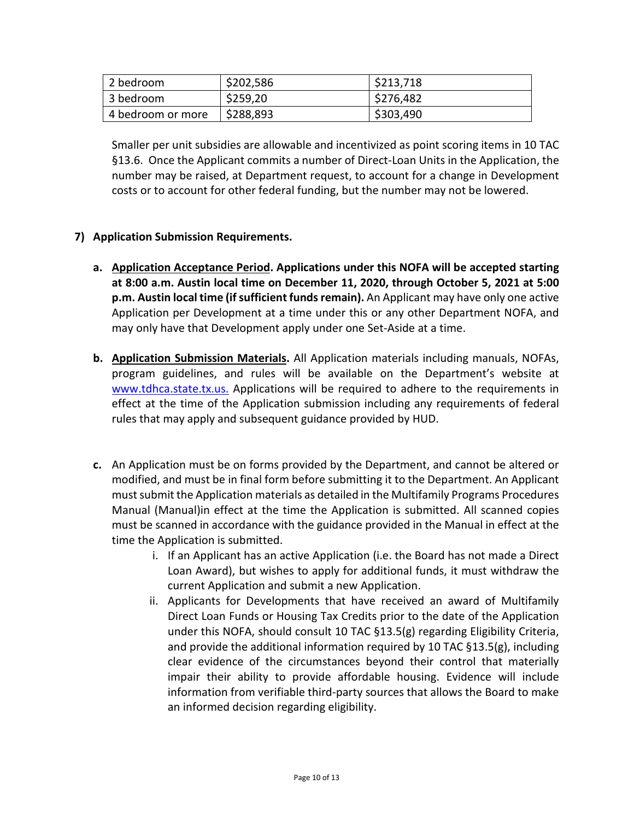| 2 bedroom         | \$202,586 | \$213,718 |
|-------------------|-----------|-----------|
| 3 bedroom         | \$259,20  | \$276,482 |
| 4 bedroom or more | \$288,893 | \$303,490 |

Smaller per unit subsidies are allowable and incentivized as point scoring items in 10 TAC §13.6. Once the Applicant commits a number of Direct-Loan Units in the Application, the number may be raised, at Department request, to account for a change in Development costs or to account for other federal funding, but the number may not be lowered.

# **7) Application Submission Requirements.**

- **a. Application Acceptance Period. Applications under this NOFA will be accepted starting at 8:00 a.m. Austin local time on December 11, 2020, through October 5, 2021 at 5:00 p.m. Austin local time (if sufficient funds remain).** An Applicant may have only one active Application per Development at a time under this or any other Department NOFA, and may only have that Development apply under one Set-Aside at a time.
- **b. Application Submission Materials.** All Application materials including manuals, NOFAs, program guidelines, and rules will be available on the Department's website at [www.tdhca.state.tx.us.](http://www.tdhca.state.tx.us./) Applications will be required to adhere to the requirements in effect at the time of the Application submission including any requirements of federal rules that may apply and subsequent guidance provided by HUD.
- **c.** An Application must be on forms provided by the Department, and cannot be altered or modified, and must be in final form before submitting it to the Department. An Applicant must submit the Application materials as detailed in the Multifamily Programs Procedures Manual (Manual)in effect at the time the Application is submitted. All scanned copies must be scanned in accordance with the guidance provided in the Manual in effect at the time the Application is submitted.
	- i. If an Applicant has an active Application (i.e. the Board has not made a Direct Loan Award), but wishes to apply for additional funds, it must withdraw the current Application and submit a new Application.
	- ii. Applicants for Developments that have received an award of Multifamily Direct Loan Funds or Housing Tax Credits prior to the date of the Application under this NOFA, should consult 10 TAC §13.5(g) regarding Eligibility Criteria, and provide the additional information required by 10 TAC §13.5(g), including clear evidence of the circumstances beyond their control that materially impair their ability to provide affordable housing. Evidence will include information from verifiable third-party sources that allows the Board to make an informed decision regarding eligibility.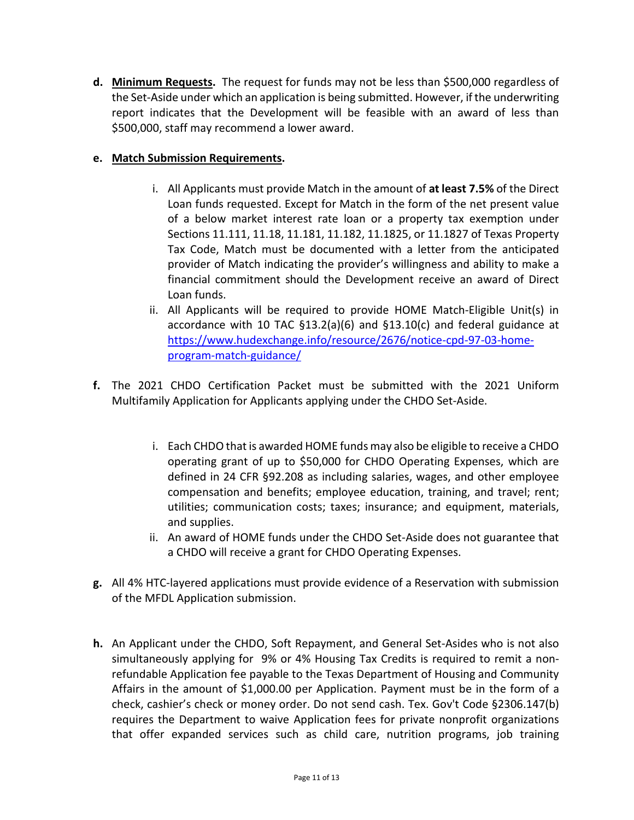**d. Minimum Requests.** The request for funds may not be less than \$500,000 regardless of the Set-Aside under which an application is being submitted. However, if the underwriting report indicates that the Development will be feasible with an award of less than \$500,000, staff may recommend a lower award.

# **e. Match Submission Requirements.**

- i. All Applicants must provide Match in the amount of **at least 7.5%** of the Direct Loan funds requested. Except for Match in the form of the net present value of a below market interest rate loan or a property tax exemption under Sections 11.111, 11.18, 11.181, 11.182, 11.1825, or 11.1827 of Texas Property Tax Code, Match must be documented with a letter from the anticipated provider of Match indicating the provider's willingness and ability to make a financial commitment should the Development receive an award of Direct Loan funds.
- ii. All Applicants will be required to provide HOME Match-Eligible Unit(s) in accordance with 10 TAC  $\S$ 13.2(a)(6) and  $\S$ 13.10(c) and federal guidance at [https://www.hudexchange.info/resource/2676/notice-cpd-97-03-home](https://www.hudexchange.info/resource/2676/notice-cpd-97-03-home-program-match-guidance/)[program-match-guidance/](https://www.hudexchange.info/resource/2676/notice-cpd-97-03-home-program-match-guidance/)
- **f.** The 2021 CHDO Certification Packet must be submitted with the 2021 Uniform Multifamily Application for Applicants applying under the CHDO Set-Aside.
	- i. Each CHDO that is awarded HOME funds may also be eligible to receive a CHDO operating grant of up to \$50,000 for CHDO Operating Expenses, which are defined in 24 CFR §92.208 as including salaries, wages, and other employee compensation and benefits; employee education, training, and travel; rent; utilities; communication costs; taxes; insurance; and equipment, materials, and supplies.
	- ii. An award of HOME funds under the CHDO Set-Aside does not guarantee that a CHDO will receive a grant for CHDO Operating Expenses.
- **g.** All 4% HTC-layered applications must provide evidence of a Reservation with submission of the MFDL Application submission.
- **h.** An Applicant under the CHDO, Soft Repayment, and General Set-Asides who is not also simultaneously applying for 9% or 4% Housing Tax Credits is required to remit a nonrefundable Application fee payable to the Texas Department of Housing and Community Affairs in the amount of \$1,000.00 per Application. Payment must be in the form of a check, cashier's check or money order. Do not send cash. Tex. Gov't Code §2306.147(b) requires the Department to waive Application fees for private nonprofit organizations that offer expanded services such as child care, nutrition programs, job training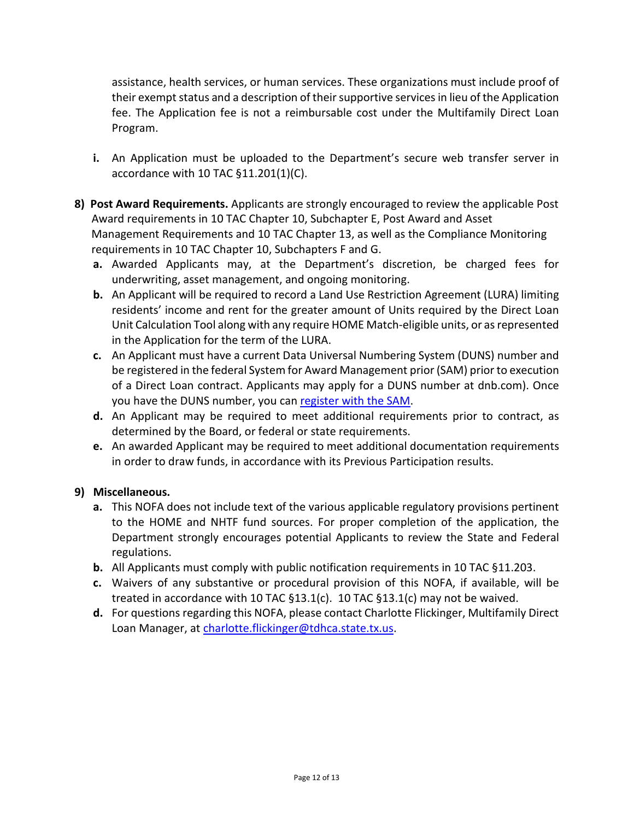assistance, health services, or human services. These organizations must include proof of their exempt status and a description of their supportive services in lieu of the Application fee. The Application fee is not a reimbursable cost under the Multifamily Direct Loan Program.

- **i.** An Application must be uploaded to the Department's secure web transfer server in accordance with 10 TAC §11.201(1)(C).
- **8) Post Award Requirements.** Applicants are strongly encouraged to review the applicable Post Award requirements in 10 TAC Chapter 10, Subchapter E, Post Award and Asset Management Requirements and 10 TAC Chapter 13, as well as the Compliance Monitoring requirements in 10 TAC Chapter 10, Subchapters F and G.
	- **a.** Awarded Applicants may, at the Department's discretion, be charged fees for underwriting, asset management, and ongoing monitoring.
	- **b.** An Applicant will be required to record a Land Use Restriction Agreement (LURA) limiting residents' income and rent for the greater amount of Units required by the Direct Loan Unit Calculation Tool along with any require HOME Match-eligible units, or as represented in the Application for the term of the LURA.
	- **c.** An Applicant must have a current Data Universal Numbering System (DUNS) number and be registered in the federal System for Award Management prior (SAM) prior to execution of a Direct Loan contract. Applicants may apply for a DUNS number at dnb.com). Once you have the DUNS number, you can [register with the SAM.](https://www.sam.gov/portal/public/SAM/)
	- **d.** An Applicant may be required to meet additional requirements prior to contract, as determined by the Board, or federal or state requirements.
	- **e.** An awarded Applicant may be required to meet additional documentation requirements in order to draw funds, in accordance with its Previous Participation results.

# **9) Miscellaneous.**

- **a.** This NOFA does not include text of the various applicable regulatory provisions pertinent to the HOME and NHTF fund sources. For proper completion of the application, the Department strongly encourages potential Applicants to review the State and Federal regulations.
- **b.** All Applicants must comply with public notification requirements in 10 TAC §11.203.
- **c.** Waivers of any substantive or procedural provision of this NOFA, if available, will be treated in accordance with 10 TAC §13.1(c). 10 TAC §13.1(c) may not be waived.
- **d.** For questions regarding this NOFA, please contact Charlotte Flickinger, Multifamily Direct Loan Manager, at [charlotte.flickinger@tdhca.state.tx.us.](mailto:andrew.sinnott@tdhca.state.tx.us)